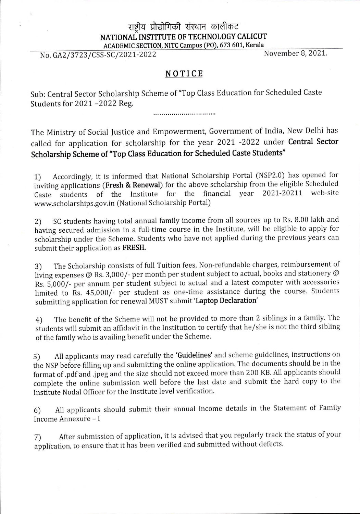## राष्ट्रीय प्रौद्योगिकी संस्थान कालीकट **NATIONAL INSTITUTE OF TECHNOLOGY CALICUT** ACADEMIC SECTION, NITC Campus (PO), 673 601, Kerala<br>SAC (2021-2022) November 8, 2021.

No. GA2/3723/CSS-SC/2021-2022

## **NOTICE**

Sub: Central Sector Scholarship Scheme of "Top Class Education for Scheduled Caste Students for 2021 -2022 Reg.

The Ministry of Social Justice and Empowerment, Government of India, New Delhi has called for application for scholarship for the year 2021 -2022 under **Central Sector Scholarship Scheme of "Top Class Education for Scheduled Caste Students"**

1) Accordingly, it is informed that National Scholarship Portal (NSP2.0) has opened for inviting applications **(Fresh** & **Renewal)** for the above scholarship from the eligible Scheduled Caste students of the Institute for the financial year [www.scholarships.gov.in](http://www.scholarships.gov.in) (National Scholarship Portal) 2021-20211

2) SC students having total annual family income from all sources up to Rs. 8.00 lakh and having secured admission in a full-time course in the Institute, will be eligible to apply for scholarship under the Scheme. Students who have not applied during the previous years can submit their application as **FRESH.**

3) The Scholarship consists of full Tuition fees, Non-refundable charges, reimbursement of living expenses @ Rs. 3,000/- per month per student subject to actual, books and stationery @ Rs. 5,000/- per annum per student subject to actual and a latest computer with accessories limited to Rs. 45,000/- per student as one-time assistance during the course. Students submitting application for renewal MUST submit **'Laptop Declaration'**

4) The benefit of the Scheme will not be provided to more than 2 siblings in a family. The students will submit an affidavit in the Institution to certify that he/she is not the third sibling ofthe family who is availing benefit under the Scheme.

5) All applicants may read carefully the **'Guidelines'** and scheme guidelines, instructions on the NSP before filling up and submitting the online application. The documents should be in the format of .pdf and .jpeg and the size should not exceed more than 200 KB. All applicants should complete the online submission well before the last date and submit the hard copy to the Institute Nodal Officer for the Institute level verification.

All applicants should submit their annual income details in the Statement of Family Income Annexure - <sup>I</sup> 6)

7) After submission of application, it is advised that you regularly track the status of your application, to ensure that it has been verified and submitted without defects.